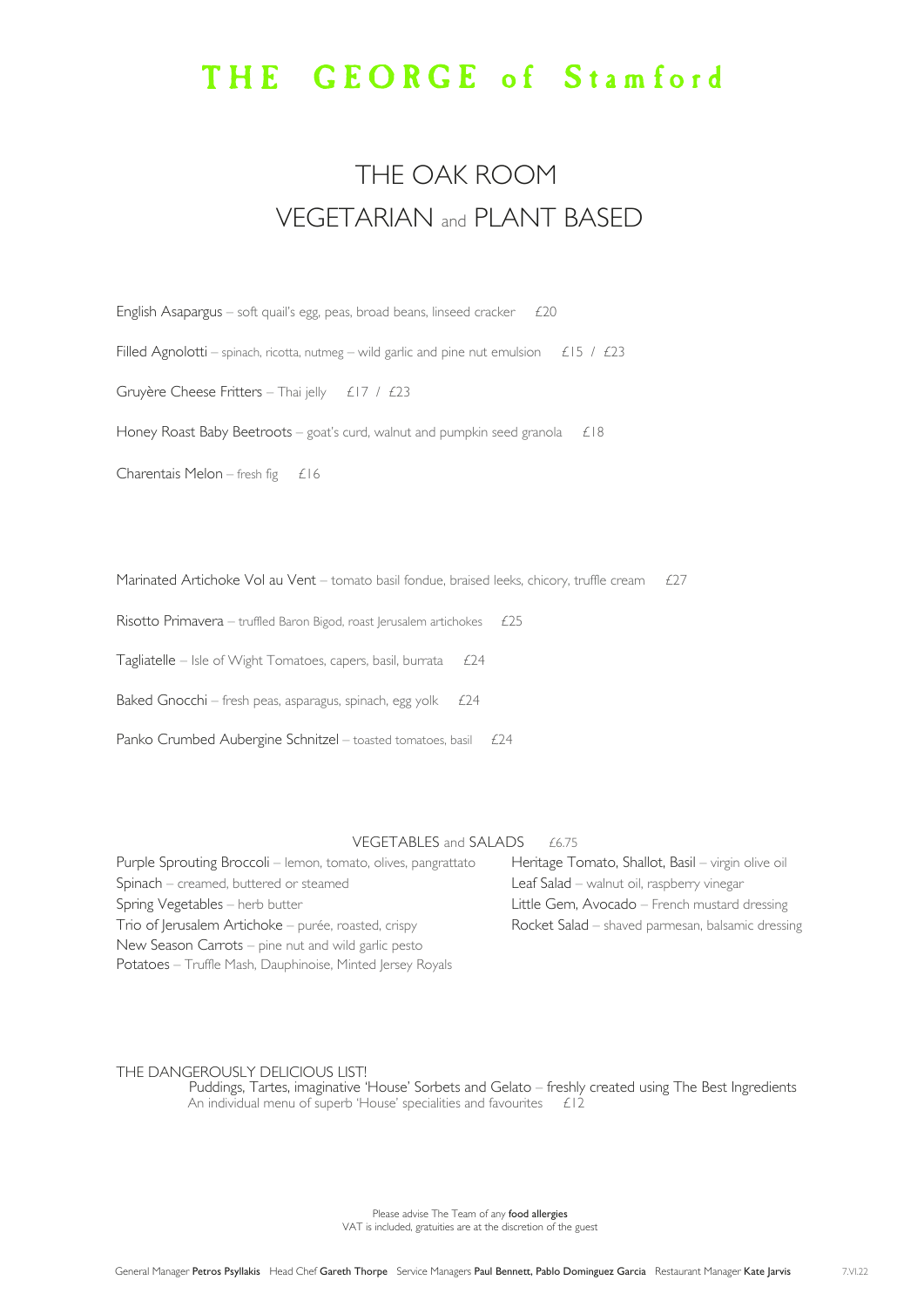Please advise The Team of any food allergies VAT is included, gratuities are at the discretion of the guest

| English Asapargus – soft quail's egg, peas, broad beans, linseed cracker<br>£20                             |
|-------------------------------------------------------------------------------------------------------------|
| Filled Agnolotti – spinach, ricotta, nutmeg – wild garlic and pine nut emulsion $\angle$ £15 / $\angle$ £23 |
| Gruyère Cheese Fritters - Thai jelly $\angle$ £17 / £23                                                     |
| Honey Roast Baby Beetroots – goat's curd, walnut and pumpkin seed granola<br>£18                            |
| Charentais Melon – fresh fig $£16$                                                                          |

Marinated Artichoke Vol au Vent – tomato basil fondue, braised leeks, chicory, truffle cream  $£27$ 

Risotto Primavera – truffled Baron Bigod, roast Jerusalem artichokes  $£25$ 

Tagliatelle – Isle of Wight Tomatoes, capers, basil, burrata  $£24$ 

Baked Gnocchi – fresh peas, asparagus, spinach, egg yolk  $£24$ 

Panko Crumbed Aubergine Schnitzel – toasted tomatoes, basil £24

## VEGETABLES and SALADS £6.75

 Puddings, Tartes, imaginative 'House' Sorbets and Gelato – freshly created using The Best Ingredients An individual menu of superb 'House' specialities and favourites £12

## THE GEORGE of Stamford

## THE OAK ROOM VEGETARIAN and PLANT BASED

General Manager Petros Psyllakis Head Chef Gareth Thorpe Service Managers Paul Bennett, Pablo Dominguez Garcia Restaurant Manager Kate Jarvis 7.VI.22

| Purple Sprouting Broccoli – lemon, tomato, olives, pangrattato | Heritage Tomato, Shallot, Basil - virgin olive oil |
|----------------------------------------------------------------|----------------------------------------------------|
| Spinach – creamed, buttered or steamed                         | Leaf Salad - walnut oil, raspberry vinegar         |
| Spring Vegetables - herb butter                                | Little Gem, Avocado – French mustard dressing      |
| Trio of Jerusalem Artichoke – purée, roasted, crispy           | Rocket Salad – shaved parmesan, balsamic dressing  |
| New Season Carrots – pine nut and wild garlic pesto            |                                                    |
| Potatoes - Truffle Mash, Dauphinoise, Minted Jersey Royals     |                                                    |

## THE DANGEROUSLY DELICIOUS LIST!